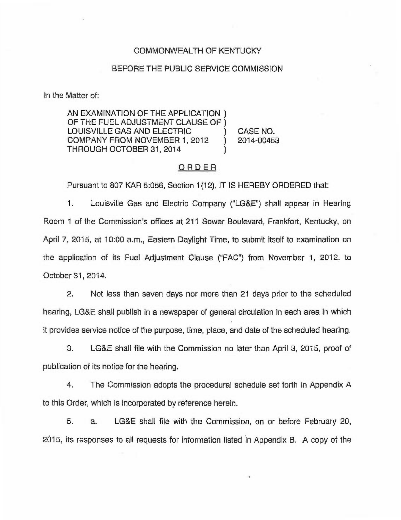### COMMONWEALTH OF KENTUCKY

### BEFORE THE PUBLIC SERVICE COMMISSION

In the Matter of:

AN EXAMINATION OF THE APPLICATION ) OF THE FUEL ADJUSTMENT CLAUSE OF ) LOUISVILLE GAS AND ELECTRIC ) CASE NO. COMPANY FROM NOVEMBER 1, 2012 THROUGH OCTOBER 31, 2014 )

## ORDER

Pursuant to 807 KAR 5:056, Section 1(12), IT IS HEREBY ORDERED that:

1. Louisville Gas and Electric Company ("LG&E") shall appear in Hearing Room <sup>1</sup> of the Commission's offices at 211 Sower Boulevard, Frankfort, Kentucky, on April 7, 2015, at 10:00 a.m., Eastern Daylight Time, to submit itself to examination on the application of its Fuel Adjustment Clause ("FAC") from November 1, 2012, to October 31, 2014.

2. Not less than seven days nor more than 21 days prior to the scheduled hearing, LG&E shall publish in a newspaper of general circulation in each area in which it provides service notice of the purpose, time, place, and date of the scheduled hearing.

3. LGBE shall file with the Commission no later than April 3, 2015, proof of publication of its notice for the hearing.

4. The Commission adopts the procedural schedule set forth in Appendix A to this Order, which is incorporated by reference herein.

5. a. LG&E shall file with the Commission, on or before February 20, 2015, its responses to all requests for information listed in Appendix B. A copy of the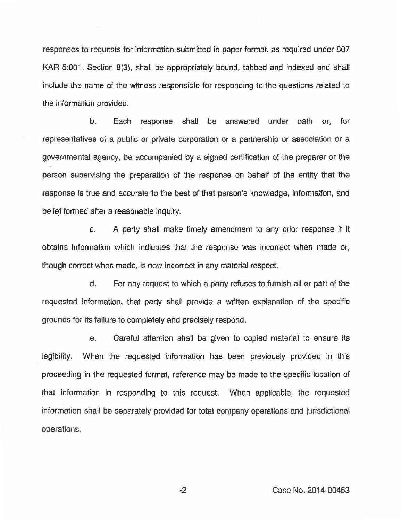responses to requests for information submitted in paper format, as required under 807 KAR 5:001, Section 8(3), shall be appropriately bound, tabbed and indexed and shall include the name of the witness responsible for responding to the questions related to the information provided.

b. Each response shall be answered under oath or, for representatives of a public or private corporation or a partnership or association or a governmental agency, be accompanied by a signed certification of the preparer or the person supervising the preparation of the response on behaff of the entity that the response is true and accurate to the best of that person's knowledge, information, and belief formed after a reasonable inquiry.

c. A party shall make timely amendment to any prior response if it obtains information which indicates that the response was incorrect when made or, though correct when made, is now incorrect in any material respect.

d. For any request to which a party refuses to furnish all or part of the requested information, that party shall provide a written explanation of the specific grounds for its failure to completely and precisely respond.

e. Careful attention shall be given to copied material to ensure its legibility. When the requested information has been previously provided in this proceeding in the requested format, reference may be made to the specific location of that information in responding to this request. When applicable, the requested information shall be separately provided for total company operations and jurisdictional operations.

-2- Case No. 2014-00453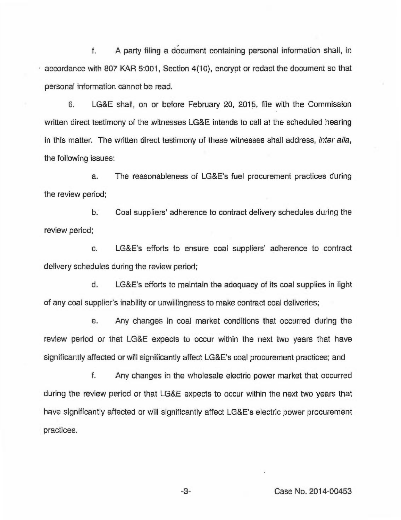f. A party filing a document containing personal information shall, in accordance with 807 KAR 5:001, Section 4(10), encrypt or redact the document so that personal information cannot be read.

6. LG&E shall, on or before February 20, 2015, file with the Commission written direct testimony of the witnesses LG&E intends to call at the scheduled hearing in this matter. The written direct testimony of these witnesses shall address, inter alia, the following issues:

a. The reasonableness of LG&E's fuel procurement practices during the review period;

b. Coal suppliers' adherence to contract delivery schedules during the review period;

c. LG&E's efforts to ensure coal suppliers' adherence to contract delivery schedules during the review period;

d. LG&E's efforts to maintain the adequacy of its coal supplies in light of any coal supplier's inability or unwillingness to make contract coal deliveries;

e. Any changes in coal market conditions that occurred during the review period or that LG&E expects to occur within the next two years that have significantly affected or will significantly affect LG&E's coal procurement practices; and

f. Any changes in the wholesale electric power market that occurred during the review period or that LG&E expects to occur within the next two years that have significantly affected or will significantly affect LG&E's electric power procurement practices,

-3- Case No. 2014-00453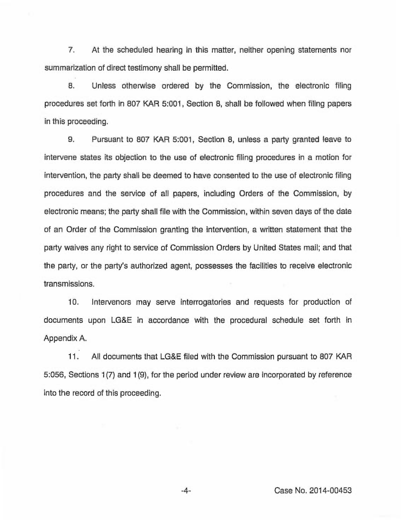7, At the scheduled hearing in this matter, neither opening statements nor summarization of direct testimony shall be permitted.

8. Unless otherwise ordered by the Commission, the electronic filing procedures set forth in 807 KAR 5:001, Section 8, shall be followed when filing papers in this proceeding.

9. Pursuant to 807 KAR 5:001, Section 8, unless a party granted leave to intervene states its objection to the use of electronic filing procedures in a motion for intervention, the party shall be deemed to have consented to the use of electronic filing procedures and the service of all papers, including Orders of the Commission, by electronic means; the party shall file with the Commission, within seven days of the date of an Order of the Commission granting the intervention, a written statement that the party waives any right to service of Commission Orders by United States mail; and that the party, or the party's authorized agent, possesses the facilities to receive electronic transmissions.

10. Intervenors may serve interrogatories and requests for production of documents upon LG&E in accordance with the procedural schedule set forth in Appendix A.

11. All documents that LG&E filed with the Commission pursuant to 807 KAR 5:056, Sections 1(7) and 1(9), for the period under review are incorporated by reference into the record of this proceeding.

-4- Case No. 2014-00453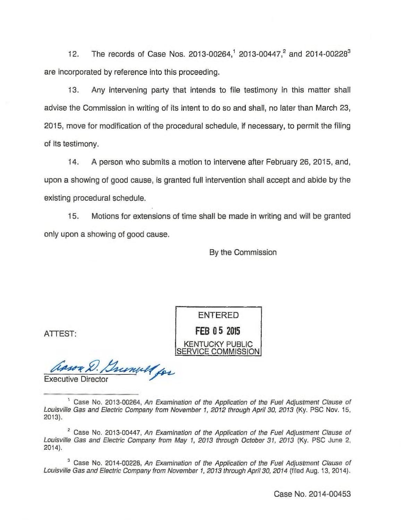12. The records of Case Nos. 2013-00264,<sup>1</sup> 2013-00447,<sup>2</sup> and 2014-00228<sup>3</sup> are incorporated by reference into this proceeding.

13. Any intervening party that intends to file testimony in this matter shall advise the Commission in writing of its intent to do so and shall, no later than March 23, 2015, move for modification of the procedural schedule, if necessary, to permit the filing of its testimony.

14. A person who submits a motion to intervene after February 26, 2015, and, upon a showing of good cause, is granted full intervention shall accept and abide by the existing procedural schedule.

15. Motions for extensions of time shall be made in writing and will be granted only upon a showing of good cause.

By the Commission

**ENTERED** 

FEB 05 2015 **KENTUCKY PUBLIC** 

ATTEST:

Trimba for

Executive Director

<sup>1</sup> Case No. 2013-00264, An Examination of the Application of the Fuel Adjustment Clause of Louisville Gas and Electric Company from November t, 2012 through April 30, 2013 (Ky. PSC Nov. 15, 2013).

 $2^2$  Case No. 2013-00447, An Examination of the Application of the Fuel Adjustment Clause of Louisville Gas and Electric Company from May t, 20t3 through October 3f, 2013 (Ky. PSC June 2, 2014).

<sup>3</sup> Case No. 2014-00228, An Examination of the Application of the Fuel Adjustment Clause of Louisville Gas and Electric Company from November 1, 2013 through April 30, 2014 (filed Aug. 13, 2014).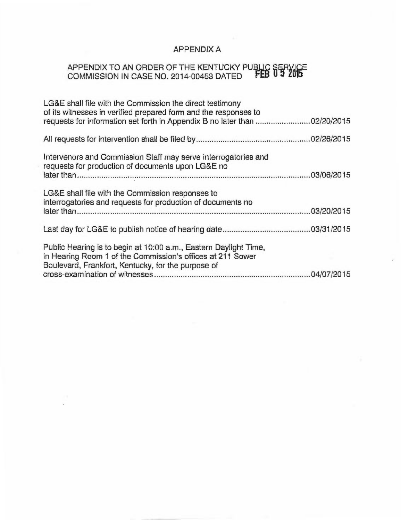# APPENDIX A

# APPENDIX TO AN ORDER OF THE KENTUCKY PUBLIC SERVICE<br>COMMISSION IN CASE NO. 2014-00453 DATED FEB 05 2015

| LG&E shall file with the Commission the direct testimony<br>of its witnesses in verified prepared form and the responses to<br>requests for information set forth in Appendix B no later than 02/20/2015 |
|----------------------------------------------------------------------------------------------------------------------------------------------------------------------------------------------------------|
|                                                                                                                                                                                                          |
| Intervenors and Commission Staff may serve interrogatories and<br>requests for production of documents upon LG&E no                                                                                      |
| LG&E shall file with the Commission responses to<br>interrogatories and requests for production of documents no                                                                                          |
|                                                                                                                                                                                                          |
| Public Hearing is to begin at 10:00 a.m., Eastern Daylight Time,<br>in Hearing Room 1 of the Commission's offices at 211 Sower<br>Boulevard, Frankfort, Kentucky, for the purpose of                     |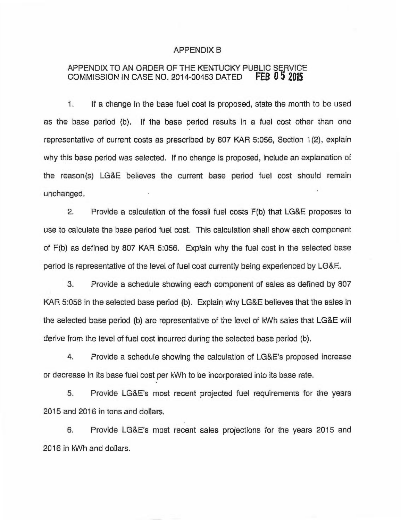## APPENDIX B

## APPENDIX TO AN ORDER OF THE KENTUCKY PUBLIC SERVICE<br>COMMISSION IN CASE NO. 2014-00453 DATED FEB 0 5 2015 COMMISSION IN CASE NO. 2014-00453 DATED

1. If a change in the base fuel cost is proposed, state the month to be used as the base period (b). If the base period results in a fuel cost other than one representative of current costs as prescribed by 807 KAR 5:056, Section 1(2), explain why this base period was selected. If no change is proposed, include an explanation of the reason(s) LG&E believes the current base period fuel cost should remain unchanged.

2. Provide a calculation of the fossil fuel costs F(b) that LG&E proposes to use to calculate the base period fuel cost. This calculation shall show each component of F(b) as defined by 807 KAR 5:056. Explain why the fuel cost in the selected base period is representative of the level of fuel cost currently being experienced by LG&E.

3. Provide a schedule showing each component of sales as defined by 807 KAR 5:056 in the selected base period (b). Explain why LG&E believes that the sales in the selected base period (b) are representative of the level of kWh sales that LG&E will derive from the level of fuel cost incurred during the selected base period (b).

4. Provide a schedule showing the calculation of LG&E's proposed increase or decrease in its base fuel cost per kWh to be incorporated into its base rate.

5. Provide LG&E's most recent projected fuel requirements for the years 2015 and 2016 in tons and dollars.

6. Provide LG&E's most recent sales projections for the years 20I5 and 2016 in kWh and dollars.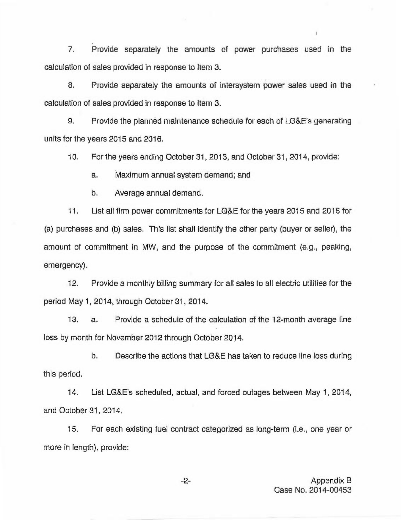7. Provide separately the amounts of power purchases used in the calculation of sales provided in response to Item 3.

8. Provide separately the amounts of intersystem power sales used in the calculation of sales provided in response to Item 3.

9. Provide the planned maintenance schedule for each of LG&E's generating units for the years 2015 and 2016.

10. For the years ending October 31, 2013, and October 31, 2014, provide:

a. Maximum annual system demand; and

b. Average annual demand.

11. List all firm power commitments for LG&E for the years 2015 and 2016 for (a) purchases and (b) sales. This list shall identify the other party (buyer or seller), the amount of commitment in MW, and the purpose of the commitment (e.g., peaking, emergency).

12. Provide a monthly billing summary for all sales to all electric utilities for the period May 1, 2014, through October 31, 2014.

13. a. Provide a schedule of the calculation of the 12-month average line loss by month for November 2012 through October 2014.

b. Describe the actions that LG&E has taken to reduce line loss during this period.

14. List LG&E's scheduled, actual, and forced outages between May 1, 2014, and October 31, 2014.

15. For each existing fuel contract categorized as long-term (i.e., one year or more in length), provide:

> -2- Appendix B Case No. 2014-00453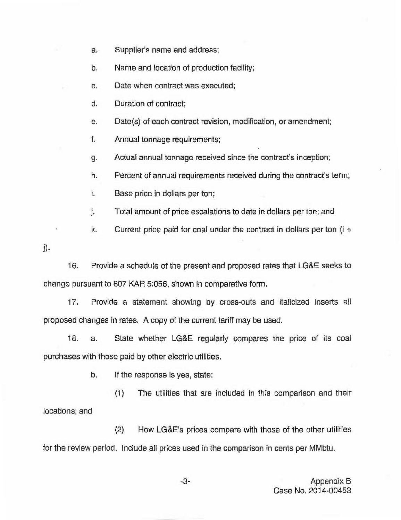a. Supplier's name and address;

b. Name and location of production facility;

c. Date when contract was executed;

d. Duration of contract;

e. Date(s) of each contract revision, modification, or amendment;

f. Annual tonnage requirements;

g. Actual annual tonnage received since the contract's inception;

h. Percent of annual requirements received during the contract's term;

i. Base price in dollars per ton;

j. Total amount of price escalations to date in dollars per ton; and

k. Current price paid for coal under the contract in dollars per ton  $(i +$ 

 $\mathbf{i}$ .

16. Provide a schedule of the present and proposed rates that LG&E seeks to change pursuant to 807 KAR 5:056, shown in comparative form.

17. Provide a statement showing by cross-outs and italicized inserts all proposed changes in rates. A copy of the current tariff may be used.

18. a. State whether LG&E regularly compares the price of its coal purchases with those paid by other electric utilities.

b. If the response is yes, state:

(1) The utilities that are included in this comparison and their locations; and

(2) How LG&E's prices compare with those of the other utilities for the review period. Include all prices used in the comparison in cents per MMbtu.

> -3- Appendix B Case No. 2014-00453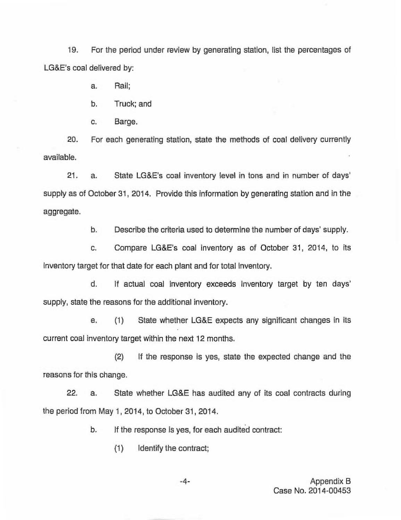19. For the period under review by generating station, list the percentages of LG&E's coal delivered by:

a. Rail;

b. Truck; and

c. Barge.

20. For each generating station, state the methods of coal delivery currently available.

21. a. State LG&E's coal inventory level in tons and in number of days' supply as of October 31, 2014. Provide this information by generating station and in the aggregate.

b. Describe the criteria used to determine the number of days' supply.

c. Compare LG&E's coal inventory as of October 31, 2014, to its inventory target for that date for each plant and for total inventory.

d. If actual coal inventory exceeds inventory target by ten days' supply, state the reasons for the additional inventory.

e. (1) State whether LG&E expects any significant changes in its current coal inventory target within the next 12 months.

(2) If the response is yes, state the expected change and the reasons for this change.

22. a. State whether LG&E has audited any of its coal contracts during the period from May 1, 2014, to October 31, 2014.

b. If the response is yes, for each audited contract:

(1) Identify the contract;

Appendix B Case No. 2014-00453

 $-4-$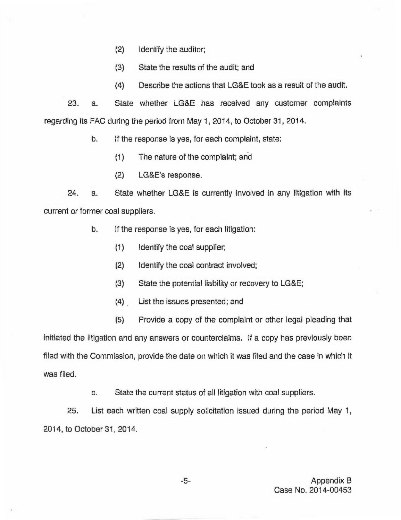- (2) Identify the auditor;
- (3) State the results of the audit; and
- (4) Describe the actions that LG&E took as a result of the audit.

23. a. State whether LG&E has received any customer complaints regarding its FAC during the period from May 1, 2014, to October 31, 2014.

b. If the response is yes, for each complaint, state:

- (1) The nature of the complaint; and
- (2) LG&E's response.

24. a. State whether LG&E is currently involved in any litigation with its current or former coal suppliers.

- b. If the response is yes, for each litigation:
	- (1) Identify the coal supplier;
	- (2) Identify the coal contract involved;
	- (3) State the potential liability or recovery to LG&E;
	- (4) List the issues presented; and
	- (5) Provide a copy of the complaint or other legal pleading that

initiated the litigation and any answers or counterclaims. If a copy has previously been filed with the Commission, provide the date on which it was filed and the case in which it was filed.

c. State the current status of all litigation with coal suppliers.

25. List each written coal supply solicitation issued during the period May 1, 2014, to October 31, 2014.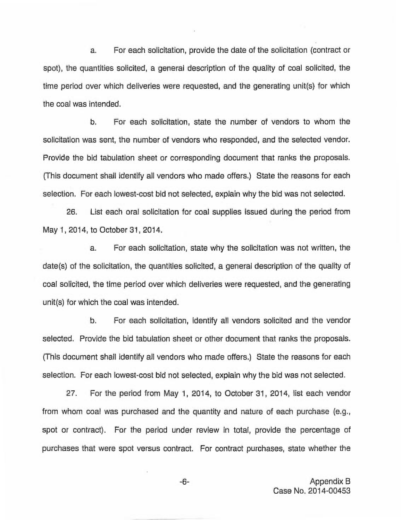a. For each solicitation, provide the date of the solicitation (contract or spot), the quantities solicited, a general description of the quality of coal solicited, the time period over which deliveries were requested, and the generating unit(s) for which the coal was intended.

b. For each solicitation, state the number of vendors to whom the solicitation was sent, the number of vendors who responded, and the selected vendor. Provide the bid tabulation sheet or corresponding document that ranks the proposals. (This document shall identify all vendors who made offers.) State the reasons for each selection. For each lowest-cost bid not selected, explain why the bid was not selected,

26. List each oral solicitation for coal supplies issued during the period from May 1, 2014, to October 31, 2014.

a. For each solicitation, state why the solicitation was not written, the date(s) of the solicitation, the quantities solicited, a general description of the quality of coal solicited, the time period over which deliveries were requested, and the generating unit(s) for which the coal was intended.

b. For each solicitation, identify all vendors solicited and the vendor selected. Provide the bid tabulation sheet or other document that ranks the proposals. (This document shall identify all vendors who made offers.) State the reasons for each selection. For each lowest-cost bid not selected, explain why the bid was not selected.

27. For the period from May 1, 2014, to October 31, 2014, list each vendor from whom coal was purchased and the quantity and nature of each purchase (e.g., spot or contract). For the period under review in total, provide the percentage of purchases that were spot versus contract. For contract purchases, state whether the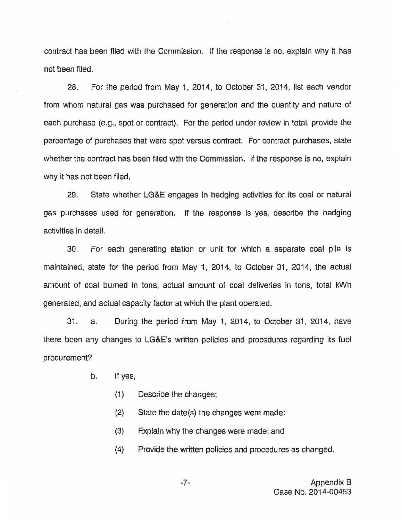contract has been filed with the Commission. If the response is no, explain why it has not been filed.

28. For the period from May 1, 2014, to October 31, 2014, list each vendor from whom natural gas was purchased for generation and the quantity and nature of each purchase (e.g., spot or contract). For the period under review in total, provide the percentage of purchases that were spot versus contract. For contract purchases, state whether the contract has been filed with the Commission. If the response is no, explain why it has not been filed.

29. State whether LG&E engages in hedging activities for its coal or natural gas purchases used for generation. If the response is yes, describe the hedging activities in detail.

30. For each generating station or unit for which a separate coal pile is maintained, state for the period from May 1, 2014, to October 31, 2014, the actual amount of coal burned in tons, actual amount of coal deliveries in tons, total kWh generated, and actual capacity factor at which the plant operated.

31. a. During the period from May 1, 2014, to October 31, 2014, have there been any changes to LG&E's written policies and procedures regarding its fuel procurement?

- b. If yes,
	- (1) Describe the changes;
	- (2) State the date(s) the changes were made;
	- (3) Explain why the changes were made; and
	- (4) Provide the written policies and procedures as changed.

-7- Appendix B Case No. 2014-00453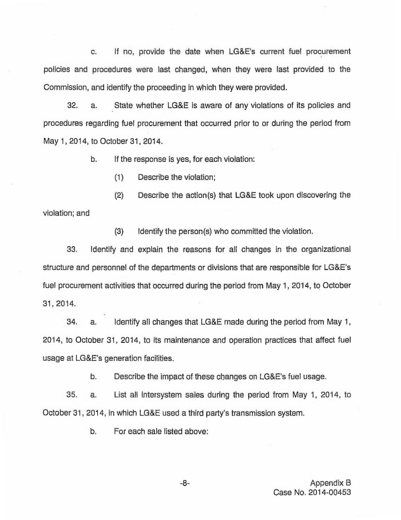c. If no, provide the date when LG&E's current fuel procurement policies and procedures were last changed, when they were last provided to the Commission, and identify the proceeding in which they were provided.

32. a. State whether LG&E is aware of any violations of its policies and procedures regarding fuel procurement that occurred prior to or during the period from May 1, 2014, to October 31, 2014.

b. If the response is yes, for each violation:

(1) Describe the violation;

violation; and (2) Describe the action(s) that LG8E took upon discovering the

(3) Identify the person(s) who committed the violation.

33. Identify and explain the reasons for all changes in the organizational structure and personnel of the departments or divisions that are responsible for LG&E's fuel procurement activities that occurred during the period from May 1, 2014, to October 31, 2014.

34. a. Identify all changes that LG8E made during the period from May 1, 2014, to October 31, 2014, to its maintenance and operation practices that affect fuel usage at LG&E's generation facilities.

b. Describe the impact of these changes on LG&E's fuel usage.

35. a. List all intersystem sales during the period from May 1, 2014, to October 31, 2014, in which LG&E used a third party's transmission system.

b. For each sale listed above: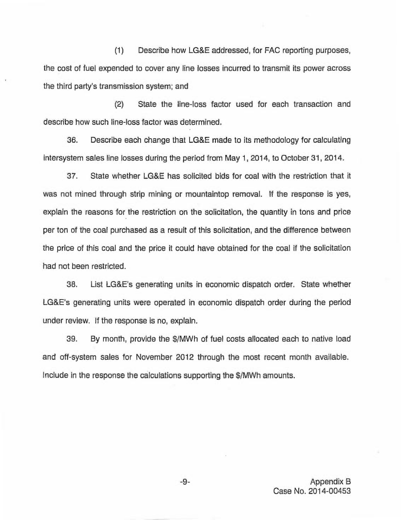(1) Describe how LG&E addressed, for FAC reporting purposes, the cost of fuel expended to cover any line losses incurred to transmit its power across the third party's transmission system; and

(2) State the line-loss factor used for each transaction and describe how such line-loss factor was determined.

36. Describe each change that LG&E made to its methodology for calculating intersystem sales line losses during the period from May 1, 2014, to October 31, 2014.

37. State whether LG&E has solicited bids for coal with the restriction that it was not mined through strip mining or mountaintop removal. If the response is yes, explain the reasons for the restriction on the solicitation, the quantity in tons and price per ton of the coal purchased as a result of this solicitation, and the difference between the price of this coal and the price it could have obtained for the coal if the solicitation had not been restricted.

38. List LG&E's generating units in economic dispatch order. State whether LG&E's generating units were operated in economic dispatch order during the period under review. If the response is no, explain.

39. By month, provide the \$/MWh of fuel costs allocated each to native load and off-system sales for November 2012 through the most recent month available. Include in the response the calculations supporting the \$/MWh amounts.

> Appendix B Case No. 2014-00453

 $-9-$